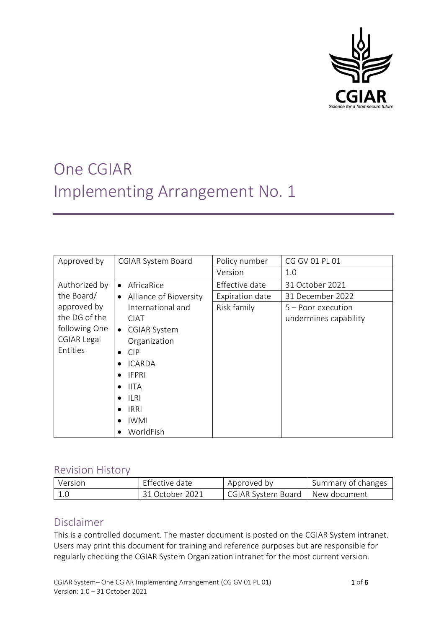

# One CGIAR Implementing Arrangement No. 1

| Approved by   | <b>CGIAR System Board</b>           | Policy number   | CG GV 01 PL 01        |
|---------------|-------------------------------------|-----------------|-----------------------|
|               |                                     | Version         | 1.0                   |
| Authorized by | AfricaRice<br>$\bullet$             | Effective date  | 31 October 2021       |
| the Board/    | Alliance of Bioversity<br>$\bullet$ | Expiration date | 31 December 2022      |
| approved by   | International and                   | Risk family     | $5 -$ Poor execution  |
| the DG of the | <b>CIAT</b>                         |                 | undermines capability |
| following One | <b>CGIAR System</b><br>$\bullet$    |                 |                       |
| CGIAR Legal   | Organization                        |                 |                       |
| Entities      | <b>CIP</b><br>$\bullet$             |                 |                       |
|               | <b>ICARDA</b>                       |                 |                       |
|               | <b>IFPRI</b>                        |                 |                       |
|               | <b>IITA</b>                         |                 |                       |
|               | ILRI                                |                 |                       |
|               | <b>IRRI</b>                         |                 |                       |
|               | <b>IWMI</b>                         |                 |                       |
|               | WorldFish                           |                 |                       |

# Revision History

| Version | Effective date  | Approved by               | Summary of changes |
|---------|-----------------|---------------------------|--------------------|
|         | 31 October 2021 | <b>CGIAR System Board</b> | l New document     |

# Disclaimer

This is a controlled document. The master document is posted on the CGIAR System intranet. Users may print this document for training and reference purposes but are responsible for regularly checking the CGIAR System Organization intranet for the most current version.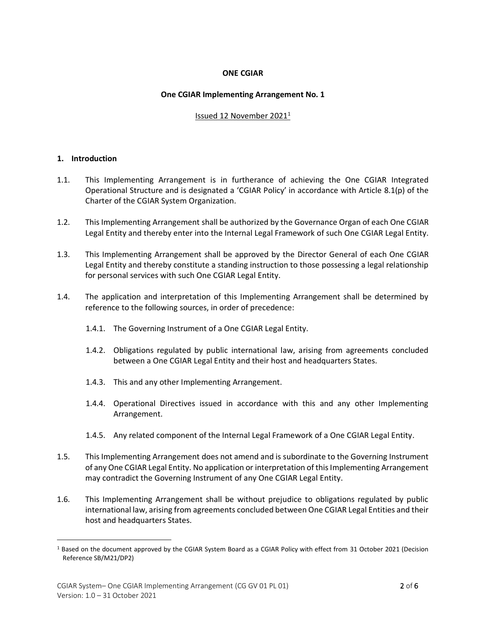# **ONE CGIAR**

#### **One CGIAR Implementing Arrangement No. 1**

#### Issued 12 November 2021<sup>1</sup>

#### **1. Introduction**

- 1.1. This Implementing Arrangement is in furtherance of achieving the One CGIAR Integrated Operational Structure and is designated a 'CGIAR Policy' in accordance with Article 8.1(p) of the Charter of the CGIAR System Organization.
- 1.2. This Implementing Arrangement shall be authorized by the Governance Organ of each One CGIAR Legal Entity and thereby enter into the Internal Legal Framework of such One CGIAR Legal Entity.
- 1.3. This Implementing Arrangement shall be approved by the Director General of each One CGIAR Legal Entity and thereby constitute a standing instruction to those possessing a legal relationship for personal services with such One CGIAR Legal Entity.
- 1.4. The application and interpretation of this Implementing Arrangement shall be determined by reference to the following sources, in order of precedence:
	- 1.4.1. The Governing Instrument of a One CGIAR Legal Entity.
	- 1.4.2. Obligations regulated by public international law, arising from agreements concluded between a One CGIAR Legal Entity and their host and headquarters States.
	- 1.4.3. This and any other Implementing Arrangement.
	- 1.4.4. Operational Directives issued in accordance with this and any other Implementing Arrangement.
	- 1.4.5. Any related component of the Internal Legal Framework of a One CGIAR Legal Entity.
- 1.5. This Implementing Arrangement does not amend and is subordinate to the Governing Instrument of any One CGIAR Legal Entity. No application or interpretation of this Implementing Arrangement may contradict the Governing Instrument of any One CGIAR Legal Entity.
- 1.6. This Implementing Arrangement shall be without prejudice to obligations regulated by public international law, arising from agreements concluded between One CGIAR Legal Entities and their host and headquarters States.

<sup>1</sup> Based on the document approved by the CGIAR System Board as a CGIAR Policy with effect from 31 October 2021 (Decision Reference SB/M21/DP2)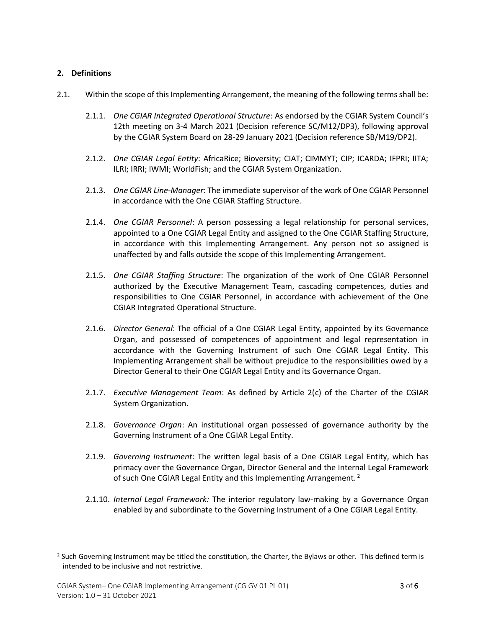# **2. Definitions**

- 2.1. Within the scope of this Implementing Arrangement, the meaning of the following terms shall be:
	- 2.1.1. *One CGIAR Integrated Operational Structure*: As endorsed by the CGIAR System Council's 12th meeting on 3-4 March 2021 (Decision reference SC/M12/DP3), following approval by the CGIAR System Board on 28-29 January 2021 (Decision reference SB/M19/DP2).
	- 2.1.2. *One CGIAR Legal Entity*: AfricaRice; Bioversity; CIAT; CIMMYT; CIP; ICARDA; IFPRI; IITA; ILRI; IRRI; IWMI; WorldFish; and the CGIAR System Organization.
	- 2.1.3. *One CGIAR Line-Manager*: The immediate supervisor of the work of One CGIAR Personnel in accordance with the One CGIAR Staffing Structure.
	- 2.1.4. *One CGIAR Personnel*: A person possessing a legal relationship for personal services, appointed to a One CGIAR Legal Entity and assigned to the One CGIAR Staffing Structure, in accordance with this Implementing Arrangement. Any person not so assigned is unaffected by and falls outside the scope of this Implementing Arrangement.
	- 2.1.5. *One CGIAR Staffing Structure*: The organization of the work of One CGIAR Personnel authorized by the Executive Management Team, cascading competences, duties and responsibilities to One CGIAR Personnel, in accordance with achievement of the One CGIAR Integrated Operational Structure.
	- 2.1.6. *Director General*: The official of a One CGIAR Legal Entity, appointed by its Governance Organ, and possessed of competences of appointment and legal representation in accordance with the Governing Instrument of such One CGIAR Legal Entity. This Implementing Arrangement shall be without prejudice to the responsibilities owed by a Director General to their One CGIAR Legal Entity and its Governance Organ.
	- 2.1.7. *Executive Management Team*: As defined by Article 2(c) of the Charter of the CGIAR System Organization.
	- 2.1.8. *Governance Organ*: An institutional organ possessed of governance authority by the Governing Instrument of a One CGIAR Legal Entity.
	- 2.1.9. *Governing Instrument*: The written legal basis of a One CGIAR Legal Entity, which has primacy over the Governance Organ, Director General and the Internal Legal Framework of such One CGIAR Legal Entity and this Implementing Arrangement.<sup>2</sup>
	- 2.1.10. *Internal Legal Framework:* The interior regulatory law-making by a Governance Organ enabled by and subordinate to the Governing Instrument of a One CGIAR Legal Entity.

<sup>&</sup>lt;sup>2</sup> Such Governing Instrument may be titled the constitution, the Charter, the Bylaws or other. This defined term is intended to be inclusive and not restrictive.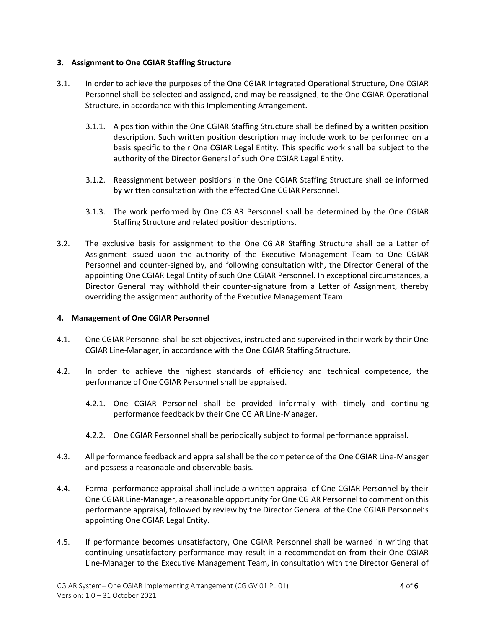# **3. Assignment to One CGIAR Staffing Structure**

- 3.1. In order to achieve the purposes of the One CGIAR Integrated Operational Structure, One CGIAR Personnel shall be selected and assigned, and may be reassigned, to the One CGIAR Operational Structure, in accordance with this Implementing Arrangement.
	- 3.1.1. A position within the One CGIAR Staffing Structure shall be defined by a written position description. Such written position description may include work to be performed on a basis specific to their One CGIAR Legal Entity. This specific work shall be subject to the authority of the Director General of such One CGIAR Legal Entity.
	- 3.1.2. Reassignment between positions in the One CGIAR Staffing Structure shall be informed by written consultation with the effected One CGIAR Personnel.
	- 3.1.3. The work performed by One CGIAR Personnel shall be determined by the One CGIAR Staffing Structure and related position descriptions.
- 3.2. The exclusive basis for assignment to the One CGIAR Staffing Structure shall be a Letter of Assignment issued upon the authority of the Executive Management Team to One CGIAR Personnel and counter-signed by, and following consultation with, the Director General of the appointing One CGIAR Legal Entity of such One CGIAR Personnel. In exceptional circumstances, a Director General may withhold their counter-signature from a Letter of Assignment, thereby overriding the assignment authority of the Executive Management Team.

# **4. Management of One CGIAR Personnel**

- 4.1. One CGIAR Personnel shall be set objectives, instructed and supervised in their work by their One CGIAR Line-Manager, in accordance with the One CGIAR Staffing Structure.
- 4.2. In order to achieve the highest standards of efficiency and technical competence, the performance of One CGIAR Personnel shall be appraised.
	- 4.2.1. One CGIAR Personnel shall be provided informally with timely and continuing performance feedback by their One CGIAR Line-Manager.
	- 4.2.2. One CGIAR Personnel shall be periodically subject to formal performance appraisal.
- 4.3. All performance feedback and appraisal shall be the competence of the One CGIAR Line-Manager and possess a reasonable and observable basis.
- 4.4. Formal performance appraisal shall include a written appraisal of One CGIAR Personnel by their One CGIAR Line-Manager, a reasonable opportunity for One CGIAR Personnel to comment on this performance appraisal, followed by review by the Director General of the One CGIAR Personnel's appointing One CGIAR Legal Entity.
- 4.5. If performance becomes unsatisfactory, One CGIAR Personnel shall be warned in writing that continuing unsatisfactory performance may result in a recommendation from their One CGIAR Line-Manager to the Executive Management Team, in consultation with the Director General of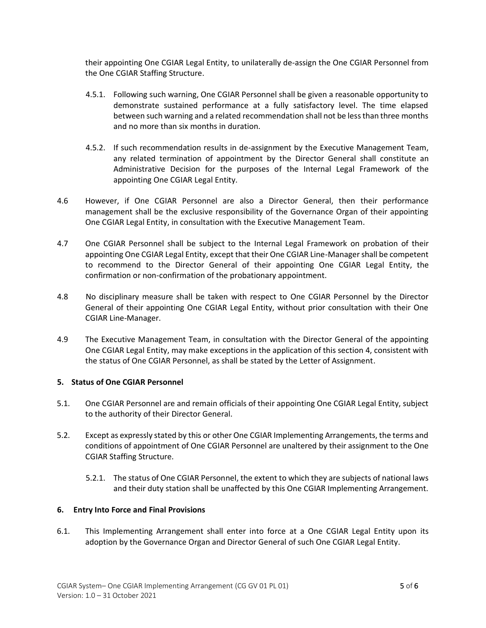their appointing One CGIAR Legal Entity, to unilaterally de-assign the One CGIAR Personnel from the One CGIAR Staffing Structure.

- 4.5.1. Following such warning, One CGIAR Personnel shall be given a reasonable opportunity to demonstrate sustained performance at a fully satisfactory level. The time elapsed between such warning and a related recommendation shall not be less than three months and no more than six months in duration.
- 4.5.2. If such recommendation results in de-assignment by the Executive Management Team, any related termination of appointment by the Director General shall constitute an Administrative Decision for the purposes of the Internal Legal Framework of the appointing One CGIAR Legal Entity.
- 4.6 However, if One CGIAR Personnel are also a Director General, then their performance management shall be the exclusive responsibility of the Governance Organ of their appointing One CGIAR Legal Entity, in consultation with the Executive Management Team.
- 4.7 One CGIAR Personnel shall be subject to the Internal Legal Framework on probation of their appointing One CGIAR Legal Entity, except that their One CGIAR Line-Manager shall be competent to recommend to the Director General of their appointing One CGIAR Legal Entity, the confirmation or non-confirmation of the probationary appointment.
- 4.8 No disciplinary measure shall be taken with respect to One CGIAR Personnel by the Director General of their appointing One CGIAR Legal Entity, without prior consultation with their One CGIAR Line-Manager.
- 4.9 The Executive Management Team, in consultation with the Director General of the appointing One CGIAR Legal Entity, may make exceptions in the application of this section 4, consistent with the status of One CGIAR Personnel, as shall be stated by the Letter of Assignment.

# **5. Status of One CGIAR Personnel**

- 5.1. One CGIAR Personnel are and remain officials of their appointing One CGIAR Legal Entity, subject to the authority of their Director General.
- 5.2. Except as expressly stated by this or other One CGIAR Implementing Arrangements, the terms and conditions of appointment of One CGIAR Personnel are unaltered by their assignment to the One CGIAR Staffing Structure.
	- 5.2.1. The status of One CGIAR Personnel, the extent to which they are subjects of national laws and their duty station shall be unaffected by this One CGIAR Implementing Arrangement.

# **6. Entry Into Force and Final Provisions**

6.1. This Implementing Arrangement shall enter into force at a One CGIAR Legal Entity upon its adoption by the Governance Organ and Director General of such One CGIAR Legal Entity.